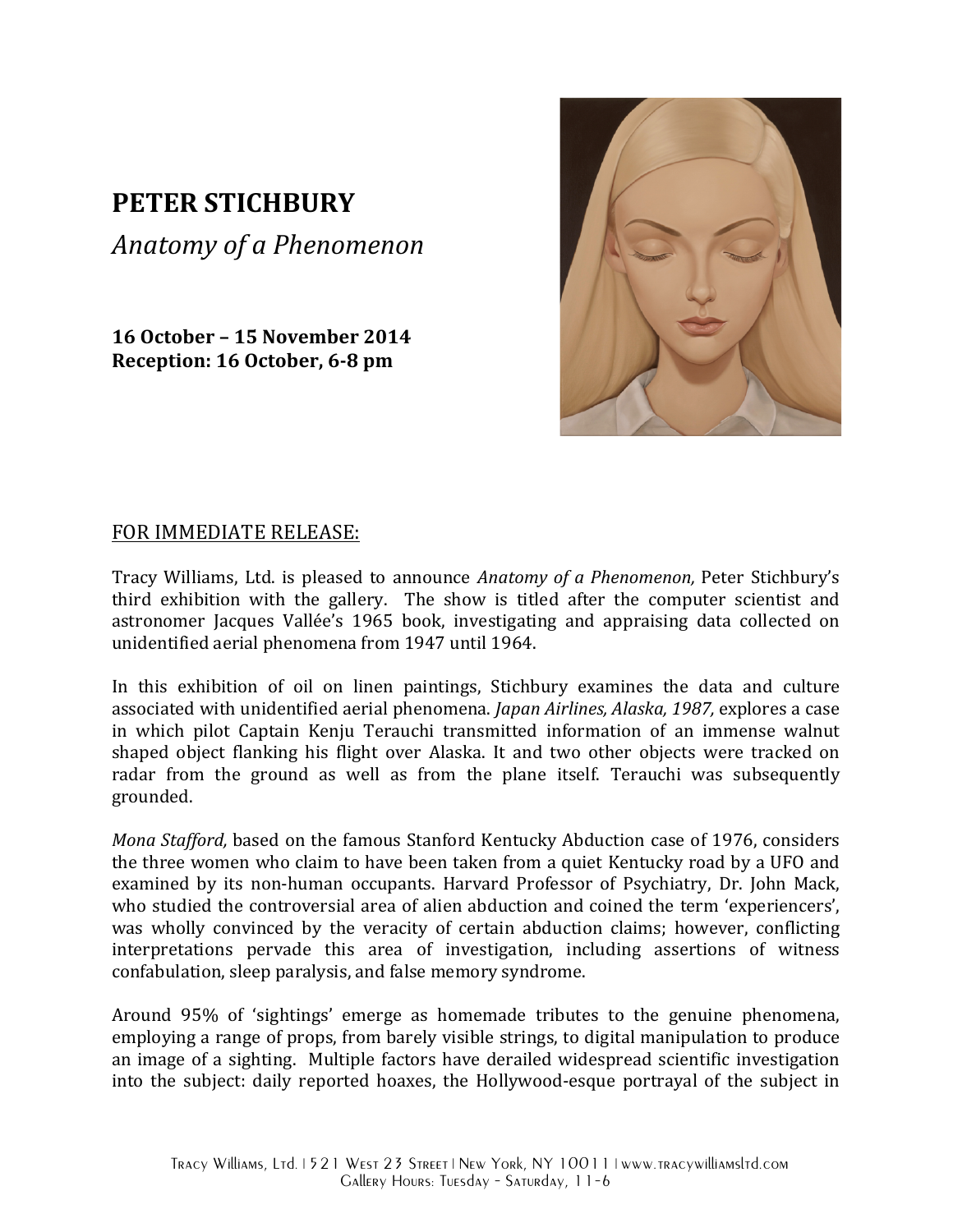## **PETER STICHBURY**

*Anatomy of a Phenomenon*

**16 October – 15 November 2014 Reception: 16 October, 6-8 pm** 



## FOR IMMEDIATE RELEASE:

Tracy Williams, Ltd. is pleased to announce *Anatomy of a Phenomenon*, Peter Stichbury's third exhibition with the gallery. The show is titled after the computer scientist and astronomer Jacques Vallée's 1965 book, investigating and appraising data collected on unidentified aerial phenomena from 1947 until 1964.

In this exhibition of oil on linen paintings, Stichbury examines the data and culture associated with unidentified aerial phenomena. *Japan Airlines, Alaska, 1987,* explores a case in which pilot Captain Kenju Terauchi transmitted information of an immense walnut shaped object flanking his flight over Alaska. It and two other objects were tracked on radar from the ground as well as from the plane itself. Terauchi was subsequently grounded. 

*Mona Stafford*, based on the famous Stanford Kentucky Abduction case of 1976, considers the three women who claim to have been taken from a quiet Kentucky road by a UFO and examined by its non-human occupants. Harvard Professor of Psychiatry, Dr. John Mack, who studied the controversial area of alien abduction and coined the term 'experiencers', was wholly convinced by the veracity of certain abduction claims; however, conflicting interpretations pervade this area of investigation, including assertions of witness confabulation, sleep paralysis, and false memory syndrome.

Around 95% of 'sightings' emerge as homemade tributes to the genuine phenomena, employing a range of props, from barely visible strings, to digital manipulation to produce an image of a sighting. Multiple factors have derailed widespread scientific investigation into the subject: daily reported hoaxes, the Hollywood-esque portrayal of the subject in